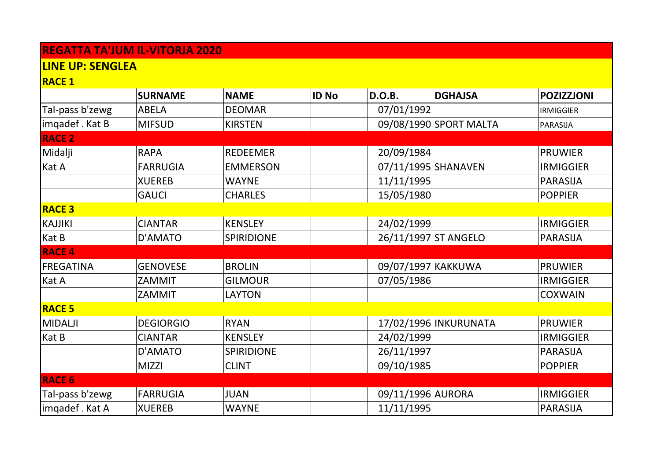## **REGATTA TA'JUM IL-VITORJA 2020**

## **LINE UP: SENGLEA**

**RACE 1**

|                  | <b>SURNAME</b>   | <b>NAME</b>     | <b>ID No</b> | <b>D.O.B.</b>        | <b>DGHAJSA</b>         | <b>POZIZZJONI</b> |
|------------------|------------------|-----------------|--------------|----------------------|------------------------|-------------------|
| Tal-pass b'zewg  | <b>ABELA</b>     | <b>DEOMAR</b>   |              | 07/01/1992           |                        | <b>IRMIGGIER</b>  |
| imqadef. Kat B   | <b>MIFSUD</b>    | <b>KIRSTEN</b>  |              |                      | 09/08/1990 SPORT MALTA | PARASIJA          |
| <b>RACE 2</b>    |                  |                 |              |                      |                        |                   |
| Midalji          | <b>RAPA</b>      | <b>REDEEMER</b> |              | 20/09/1984           |                        | <b>PRUWIER</b>    |
| Kat A            | <b>FARRUGIA</b>  | <b>EMMERSON</b> |              | 07/11/1995 SHANAVEN  |                        | <b>IRMIGGIER</b>  |
|                  | <b>XUEREB</b>    | <b>WAYNE</b>    |              | 11/11/1995           |                        | <b>PARASIJA</b>   |
|                  | <b>GAUCI</b>     | <b>CHARLES</b>  |              | 15/05/1980           |                        | <b>POPPIER</b>    |
| <b>RACE 3</b>    |                  |                 |              |                      |                        |                   |
| <b>KAJJIKI</b>   | <b>CIANTAR</b>   | <b>KENSLEY</b>  |              | 24/02/1999           |                        | <b>IRMIGGIER</b>  |
| Kat B            | D'AMATO          | SPIRIDIONE      |              | 26/11/1997 ST ANGELO |                        | <b>PARASIJA</b>   |
| <b>RACE 4</b>    |                  |                 |              |                      |                        |                   |
| <b>FREGATINA</b> | <b>GENOVESE</b>  | <b>BROLIN</b>   |              | 09/07/1997 KAKKUWA   |                        | <b>PRUWIER</b>    |
| Kat A            | ZAMMIT           | <b>GILMOUR</b>  |              | 07/05/1986           |                        | <b>IRMIGGIER</b>  |
|                  | ZAMMIT           | <b>LAYTON</b>   |              |                      |                        | <b>COXWAIN</b>    |
| <b>RACE 5</b>    |                  |                 |              |                      |                        |                   |
| <b>MIDALJI</b>   | <b>DEGIORGIO</b> | <b>RYAN</b>     |              |                      | 17/02/1996 INKURUNATA  | <b>PRUWIER</b>    |
| Kat B            | <b>CIANTAR</b>   | <b>KENSLEY</b>  |              | 24/02/1999           |                        | <b>IRMIGGIER</b>  |
|                  | D'AMATO          | SPIRIDIONE      |              | 26/11/1997           |                        | <b>PARASIJA</b>   |
|                  | <b>MIZZI</b>     | <b>CLINT</b>    |              | 09/10/1985           |                        | <b>POPPIER</b>    |
| <b>RACE 6</b>    |                  |                 |              |                      |                        |                   |
| Tal-pass b'zewg  | <b>FARRUGIA</b>  | <b>JUAN</b>     |              | 09/11/1996 AURORA    |                        | <b>IRMIGGIER</b>  |
| imqadef . Kat A  | <b>XUEREB</b>    | <b>WAYNE</b>    |              | 11/11/1995           |                        | <b>PARASIJA</b>   |